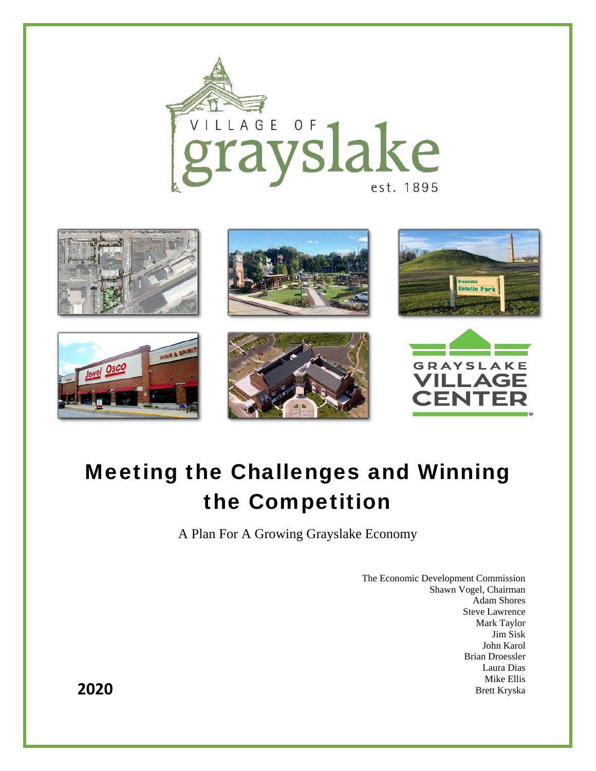



# Meeting the Challenges and Winning the Competition

A Plan For A Growing Grayslake Economy

The Economic Development Commission Shawn Vogel, Chairman Adam Shores Steve Lawrence Mark Taylor Jim Sisk John Karol Brian Droessler Laura Dias Mike Ellis **2020** Brett Kryska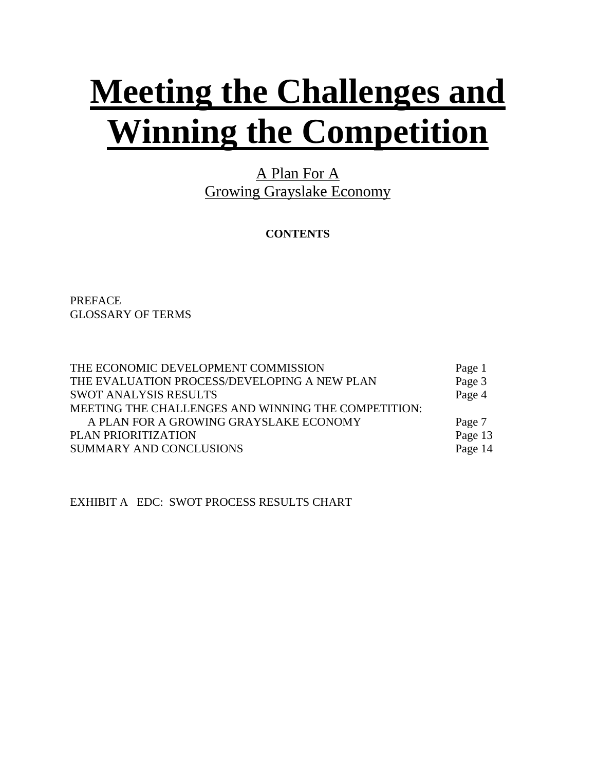# **Meeting the Challenges and Winning the Competition**

A Plan For A Growing Grayslake Economy

**CONTENTS** 

PREFACE GLOSSARY OF TERMS

| THE ECONOMIC DEVELOPMENT COMMISSION                 | Page 1  |
|-----------------------------------------------------|---------|
| THE EVALUATION PROCESS/DEVELOPING A NEW PLAN        | Page 3  |
| <b>SWOT ANALYSIS RESULTS</b>                        | Page 4  |
| MEETING THE CHALLENGES AND WINNING THE COMPETITION: |         |
| A PLAN FOR A GROWING GRAYSLAKE ECONOMY              | Page 7  |
| PLAN PRIORITIZATION                                 | Page 13 |
| <b>SUMMARY AND CONCLUSIONS</b>                      | Page 14 |

EXHIBIT A EDC: SWOT PROCESS RESULTS CHART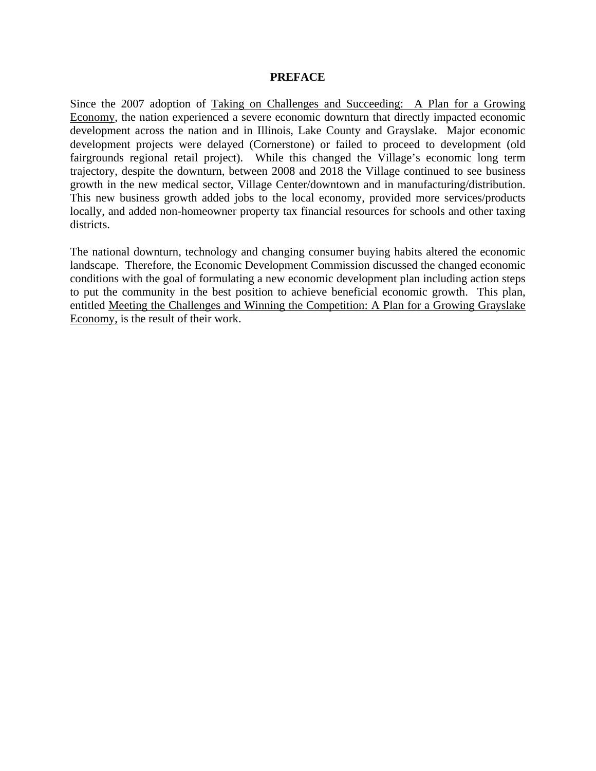#### **PREFACE**

Since the 2007 adoption of Taking on Challenges and Succeeding: A Plan for a Growing Economy, the nation experienced a severe economic downturn that directly impacted economic development across the nation and in Illinois, Lake County and Grayslake. Major economic development projects were delayed (Cornerstone) or failed to proceed to development (old fairgrounds regional retail project). While this changed the Village's economic long term trajectory, despite the downturn, between 2008 and 2018 the Village continued to see business growth in the new medical sector, Village Center/downtown and in manufacturing/distribution. This new business growth added jobs to the local economy, provided more services/products locally, and added non-homeowner property tax financial resources for schools and other taxing districts.

The national downturn, technology and changing consumer buying habits altered the economic landscape. Therefore, the Economic Development Commission discussed the changed economic conditions with the goal of formulating a new economic development plan including action steps to put the community in the best position to achieve beneficial economic growth. This plan, entitled Meeting the Challenges and Winning the Competition: A Plan for a Growing Grayslake Economy, is the result of their work.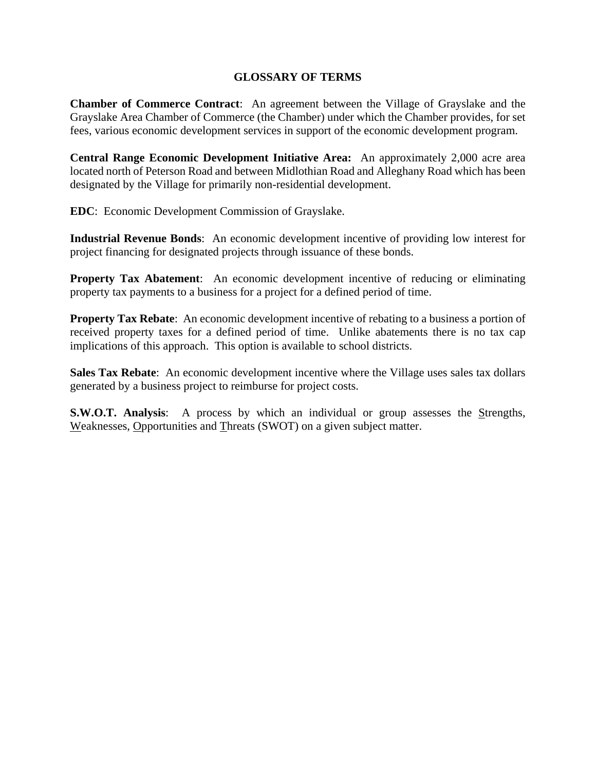# **GLOSSARY OF TERMS**

**Chamber of Commerce Contract**: An agreement between the Village of Grayslake and the Grayslake Area Chamber of Commerce (the Chamber) under which the Chamber provides, for set fees, various economic development services in support of the economic development program.

**Central Range Economic Development Initiative Area:** An approximately 2,000 acre area located north of Peterson Road and between Midlothian Road and Alleghany Road which has been designated by the Village for primarily non-residential development.

**EDC**: Economic Development Commission of Grayslake.

**Industrial Revenue Bonds**: An economic development incentive of providing low interest for project financing for designated projects through issuance of these bonds.

**Property Tax Abatement:** An economic development incentive of reducing or eliminating property tax payments to a business for a project for a defined period of time.

**Property Tax Rebate**: An economic development incentive of rebating to a business a portion of received property taxes for a defined period of time. Unlike abatements there is no tax cap implications of this approach. This option is available to school districts.

**Sales Tax Rebate**: An economic development incentive where the Village uses sales tax dollars generated by a business project to reimburse for project costs.

**S.W.O.T. Analysis**: A process by which an individual or group assesses the Strengths, Weaknesses, Opportunities and Threats (SWOT) on a given subject matter.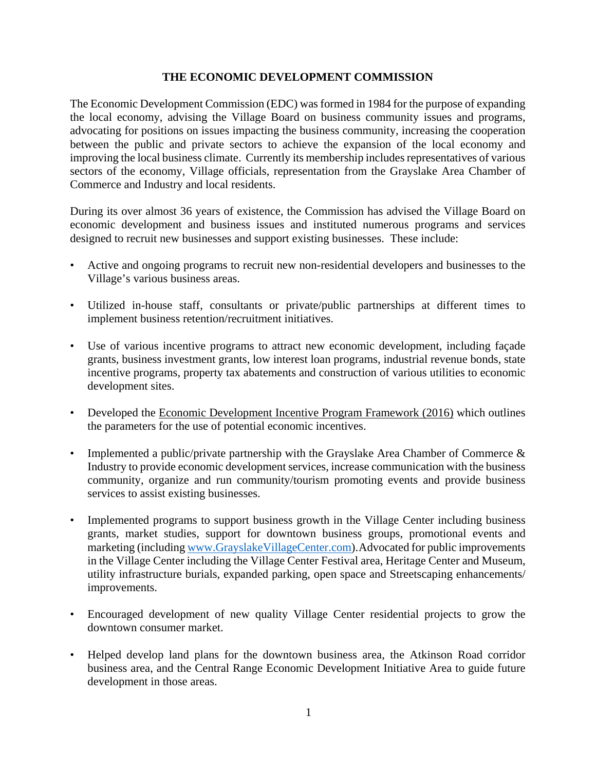# **THE ECONOMIC DEVELOPMENT COMMISSION**

The Economic Development Commission (EDC) was formed in 1984 for the purpose of expanding the local economy, advising the Village Board on business community issues and programs, advocating for positions on issues impacting the business community, increasing the cooperation between the public and private sectors to achieve the expansion of the local economy and improving the local business climate. Currently its membership includes representatives of various sectors of the economy, Village officials, representation from the Grayslake Area Chamber of Commerce and Industry and local residents.

During its over almost 36 years of existence, the Commission has advised the Village Board on economic development and business issues and instituted numerous programs and services designed to recruit new businesses and support existing businesses. These include:

- Active and ongoing programs to recruit new non-residential developers and businesses to the Village's various business areas.
- Utilized in-house staff, consultants or private/public partnerships at different times to implement business retention/recruitment initiatives.
- Use of various incentive programs to attract new economic development, including façade grants, business investment grants, low interest loan programs, industrial revenue bonds, state incentive programs, property tax abatements and construction of various utilities to economic development sites.
- Developed the Economic Development Incentive Program Framework (2016) which outlines the parameters for the use of potential economic incentives.
- Implemented a public/private partnership with the Grayslake Area Chamber of Commerce & Industry to provide economic development services, increase communication with the business community, organize and run community/tourism promoting events and provide business services to assist existing businesses.
- Implemented programs to support business growth in the Village Center including business grants, market studies, support for downtown business groups, promotional events and marketing (including www.GrayslakeVillageCenter.com).Advocated for public improvements in the Village Center including the Village Center Festival area, Heritage Center and Museum, utility infrastructure burials, expanded parking, open space and Streetscaping enhancements/ improvements.
- Encouraged development of new quality Village Center residential projects to grow the downtown consumer market.
- Helped develop land plans for the downtown business area, the Atkinson Road corridor business area, and the Central Range Economic Development Initiative Area to guide future development in those areas.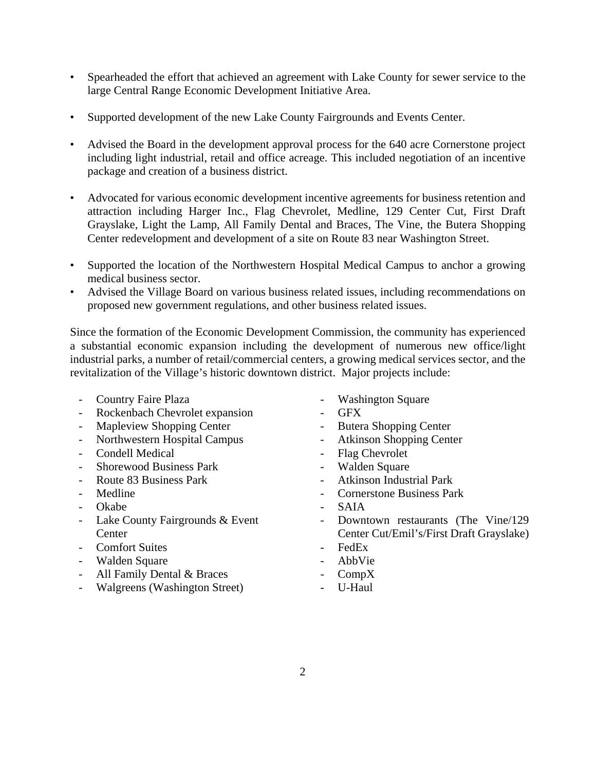- Spearheaded the effort that achieved an agreement with Lake County for sewer service to the large Central Range Economic Development Initiative Area.
- Supported development of the new Lake County Fairgrounds and Events Center.
- Advised the Board in the development approval process for the 640 acre Cornerstone project including light industrial, retail and office acreage. This included negotiation of an incentive package and creation of a business district.
- Advocated for various economic development incentive agreements for business retention and attraction including Harger Inc., Flag Chevrolet, Medline, 129 Center Cut, First Draft Grayslake, Light the Lamp, All Family Dental and Braces, The Vine, the Butera Shopping Center redevelopment and development of a site on Route 83 near Washington Street.
- Supported the location of the Northwestern Hospital Medical Campus to anchor a growing medical business sector.
- Advised the Village Board on various business related issues, including recommendations on proposed new government regulations, and other business related issues.

Since the formation of the Economic Development Commission, the community has experienced a substantial economic expansion including the development of numerous new office/light industrial parks, a number of retail/commercial centers, a growing medical services sector, and the revitalization of the Village's historic downtown district. Major projects include:

- 
- Rockenbach Chevrolet expansion GFX
- Mapleview Shopping Center Butera Shopping Center
- 
- Condell Medical Flag Chevrolet
- Shorewood Business Park Walden Square
- 
- 
- 
- Lake County Fairgrounds & Event **Center**
- Comfort Suites FedEx
- Walden Square  **AbbVie**
- All Family Dental & Braces CompX
- Walgreens (Washington Street) U-Haul
- **Country Faire Plaza** Washington Square
	-
	-
- Northwestern Hospital Campus Atkinson Shopping Center
	-
	-
- Route 83 Business Park Atkinson Industrial Park
	- Medline Cornerstone Business Park
- Okabe SAIA
	- Downtown restaurants (The Vine/129 Center Cut/Emil's/First Draft Grayslake)
	-
	-
	-
	-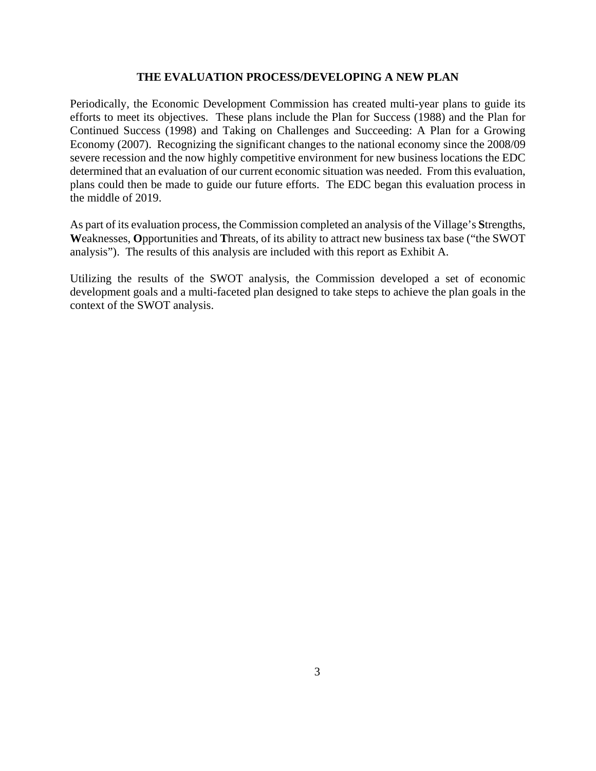#### **THE EVALUATION PROCESS/DEVELOPING A NEW PLAN**

Periodically, the Economic Development Commission has created multi-year plans to guide its efforts to meet its objectives. These plans include the Plan for Success (1988) and the Plan for Continued Success (1998) and Taking on Challenges and Succeeding: A Plan for a Growing Economy (2007). Recognizing the significant changes to the national economy since the 2008/09 severe recession and the now highly competitive environment for new business locations the EDC determined that an evaluation of our current economic situation was needed. From this evaluation, plans could then be made to guide our future efforts. The EDC began this evaluation process in the middle of 2019.

As part of its evaluation process, the Commission completed an analysis of the Village's **S**trengths, **W**eaknesses, **O**pportunities and **T**hreats, of its ability to attract new business tax base ("the SWOT analysis"). The results of this analysis are included with this report as Exhibit A.

Utilizing the results of the SWOT analysis, the Commission developed a set of economic development goals and a multi-faceted plan designed to take steps to achieve the plan goals in the context of the SWOT analysis.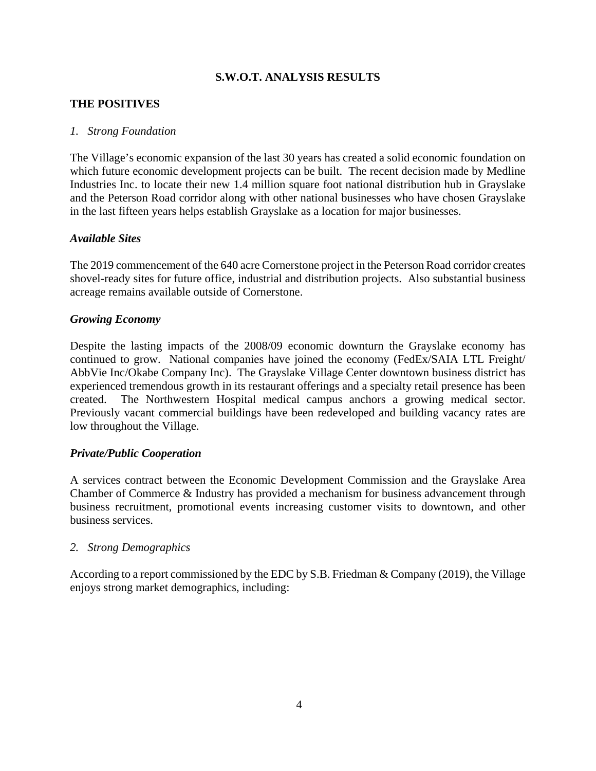# **S.W.O.T. ANALYSIS RESULTS**

# **THE POSITIVES**

# *1. Strong Foundation*

The Village's economic expansion of the last 30 years has created a solid economic foundation on which future economic development projects can be built. The recent decision made by Medline Industries Inc. to locate their new 1.4 million square foot national distribution hub in Grayslake and the Peterson Road corridor along with other national businesses who have chosen Grayslake in the last fifteen years helps establish Grayslake as a location for major businesses.

#### *Available Sites*

The 2019 commencement of the 640 acre Cornerstone project in the Peterson Road corridor creates shovel-ready sites for future office, industrial and distribution projects. Also substantial business acreage remains available outside of Cornerstone.

#### *Growing Economy*

Despite the lasting impacts of the 2008/09 economic downturn the Grayslake economy has continued to grow. National companies have joined the economy (FedEx/SAIA LTL Freight/ AbbVie Inc/Okabe Company Inc). The Grayslake Village Center downtown business district has experienced tremendous growth in its restaurant offerings and a specialty retail presence has been created. The Northwestern Hospital medical campus anchors a growing medical sector. Previously vacant commercial buildings have been redeveloped and building vacancy rates are low throughout the Village.

# *Private/Public Cooperation*

A services contract between the Economic Development Commission and the Grayslake Area Chamber of Commerce & Industry has provided a mechanism for business advancement through business recruitment, promotional events increasing customer visits to downtown, and other business services.

#### *2. Strong Demographics*

According to a report commissioned by the EDC by S.B. Friedman & Company (2019), the Village enjoys strong market demographics, including: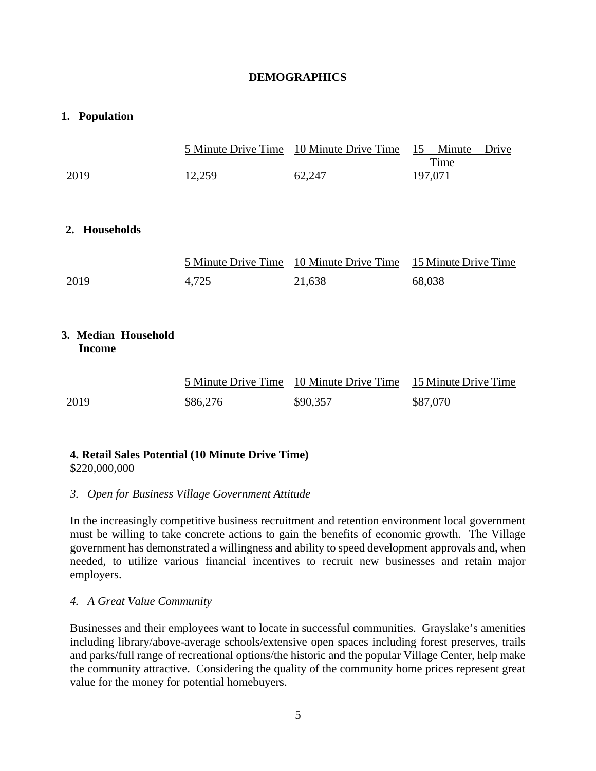# **DEMOGRAPHICS**

# **1. Population**

|                                      |                     | 5 Minute Drive Time 10 Minute Drive Time | Minute<br>15<br>Drive<br>Time |
|--------------------------------------|---------------------|------------------------------------------|-------------------------------|
| 2019                                 | 12,259              | 62,247                                   | 197,071                       |
|                                      |                     |                                          |                               |
| 2. Households                        |                     |                                          |                               |
|                                      | 5 Minute Drive Time | 10 Minute Drive Time                     | 15 Minute Drive Time          |
| 2019                                 | 4,725               | 21,638                                   | 68,038                        |
|                                      |                     |                                          |                               |
| 3. Median Household<br><b>Income</b> |                     |                                          |                               |
|                                      | 5 Minute Drive Time | 10 Minute Drive Time                     | 15 Minute Drive Time          |
| 2019                                 | \$86,276            | \$90,357                                 | \$87,070                      |

# **4. Retail Sales Potential (10 Minute Drive Time)**

\$220,000,000

# *3. Open for Business Village Government Attitude*

In the increasingly competitive business recruitment and retention environment local government must be willing to take concrete actions to gain the benefits of economic growth. The Village government has demonstrated a willingness and ability to speed development approvals and, when needed, to utilize various financial incentives to recruit new businesses and retain major employers.

# *4. A Great Value Community*

Businesses and their employees want to locate in successful communities. Grayslake's amenities including library/above-average schools/extensive open spaces including forest preserves, trails and parks/full range of recreational options/the historic and the popular Village Center, help make the community attractive. Considering the quality of the community home prices represent great value for the money for potential homebuyers.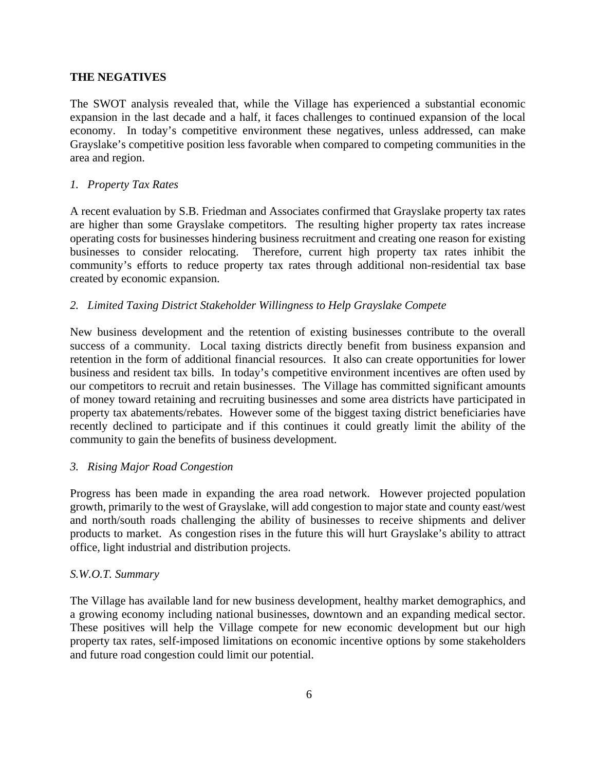# **THE NEGATIVES**

The SWOT analysis revealed that, while the Village has experienced a substantial economic expansion in the last decade and a half, it faces challenges to continued expansion of the local economy. In today's competitive environment these negatives, unless addressed, can make Grayslake's competitive position less favorable when compared to competing communities in the area and region.

# *1. Property Tax Rates*

A recent evaluation by S.B. Friedman and Associates confirmed that Grayslake property tax rates are higher than some Grayslake competitors. The resulting higher property tax rates increase operating costs for businesses hindering business recruitment and creating one reason for existing businesses to consider relocating. Therefore, current high property tax rates inhibit the community's efforts to reduce property tax rates through additional non-residential tax base created by economic expansion.

# *2. Limited Taxing District Stakeholder Willingness to Help Grayslake Compete*

New business development and the retention of existing businesses contribute to the overall success of a community. Local taxing districts directly benefit from business expansion and retention in the form of additional financial resources. It also can create opportunities for lower business and resident tax bills. In today's competitive environment incentives are often used by our competitors to recruit and retain businesses. The Village has committed significant amounts of money toward retaining and recruiting businesses and some area districts have participated in property tax abatements/rebates. However some of the biggest taxing district beneficiaries have recently declined to participate and if this continues it could greatly limit the ability of the community to gain the benefits of business development.

#### *3. Rising Major Road Congestion*

Progress has been made in expanding the area road network. However projected population growth, primarily to the west of Grayslake, will add congestion to major state and county east/west and north/south roads challenging the ability of businesses to receive shipments and deliver products to market. As congestion rises in the future this will hurt Grayslake's ability to attract office, light industrial and distribution projects.

#### *S.W.O.T. Summary*

The Village has available land for new business development, healthy market demographics, and a growing economy including national businesses, downtown and an expanding medical sector. These positives will help the Village compete for new economic development but our high property tax rates, self-imposed limitations on economic incentive options by some stakeholders and future road congestion could limit our potential.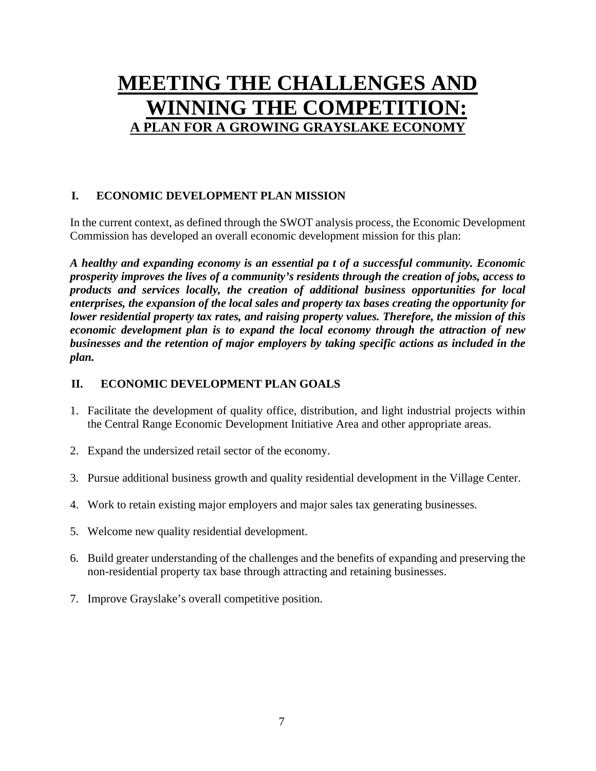# **MEETING THE CHALLENGES AND WINNING THE COMPETITION: A PLAN FOR A GROWING GRAYSLAKE ECONOMY**

# **I. ECONOMIC DEVELOPMENT PLAN MISSION**

In the current context, as defined through the SWOT analysis process, the Economic Development Commission has developed an overall economic development mission for this plan:

*A healthy and expanding economy is an essential pa t of a successful community. Economic prosperity improves the lives of a community's residents through the creation of jobs, access to products and services locally, the creation of additional business opportunities for local enterprises, the expansion of the local sales and property tax bases creating the opportunity for lower residential property tax rates, and raising property values. Therefore, the mission of this economic development plan is to expand the local economy through the attraction of new businesses and the retention of major employers by taking specific actions as included in the plan.* 

# **II. ECONOMIC DEVELOPMENT PLAN GOALS**

- 1. Facilitate the development of quality office, distribution, and light industrial projects within the Central Range Economic Development Initiative Area and other appropriate areas.
- 2. Expand the undersized retail sector of the economy.
- 3. Pursue additional business growth and quality residential development in the Village Center.
- 4. Work to retain existing major employers and major sales tax generating businesses.
- 5. Welcome new quality residential development.
- 6. Build greater understanding of the challenges and the benefits of expanding and preserving the non-residential property tax base through attracting and retaining businesses.
- 7. Improve Grayslake's overall competitive position.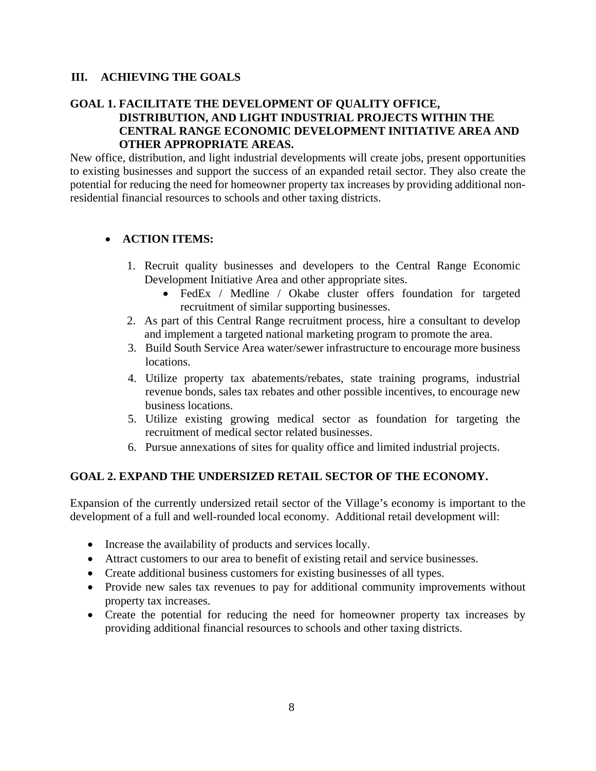# **III. ACHIEVING THE GOALS**

# **GOAL 1. FACILITATE THE DEVELOPMENT OF QUALITY OFFICE, DISTRIBUTION, AND LIGHT INDUSTRIAL PROJECTS WITHIN THE CENTRAL RANGE ECONOMIC DEVELOPMENT INITIATIVE AREA AND OTHER APPROPRIATE AREAS.**

New office, distribution, and light industrial developments will create jobs, present opportunities to existing businesses and support the success of an expanded retail sector. They also create the potential for reducing the need for homeowner property tax increases by providing additional nonresidential financial resources to schools and other taxing districts.

# **ACTION ITEMS:**

- 1. Recruit quality businesses and developers to the Central Range Economic Development Initiative Area and other appropriate sites.
	- FedEx / Medline / Okabe cluster offers foundation for targeted recruitment of similar supporting businesses.
- 2. As part of this Central Range recruitment process, hire a consultant to develop and implement a targeted national marketing program to promote the area.
- 3. Build South Service Area water/sewer infrastructure to encourage more business locations.
- 4. Utilize property tax abatements/rebates, state training programs, industrial revenue bonds, sales tax rebates and other possible incentives, to encourage new business locations.
- 5. Utilize existing growing medical sector as foundation for targeting the recruitment of medical sector related businesses.
- 6. Pursue annexations of sites for quality office and limited industrial projects.

# **GOAL 2. EXPAND THE UNDERSIZED RETAIL SECTOR OF THE ECONOMY.**

Expansion of the currently undersized retail sector of the Village's economy is important to the development of a full and well-rounded local economy. Additional retail development will:

- Increase the availability of products and services locally.
- Attract customers to our area to benefit of existing retail and service businesses.
- Create additional business customers for existing businesses of all types.
- Provide new sales tax revenues to pay for additional community improvements without property tax increases.
- Create the potential for reducing the need for homeowner property tax increases by providing additional financial resources to schools and other taxing districts.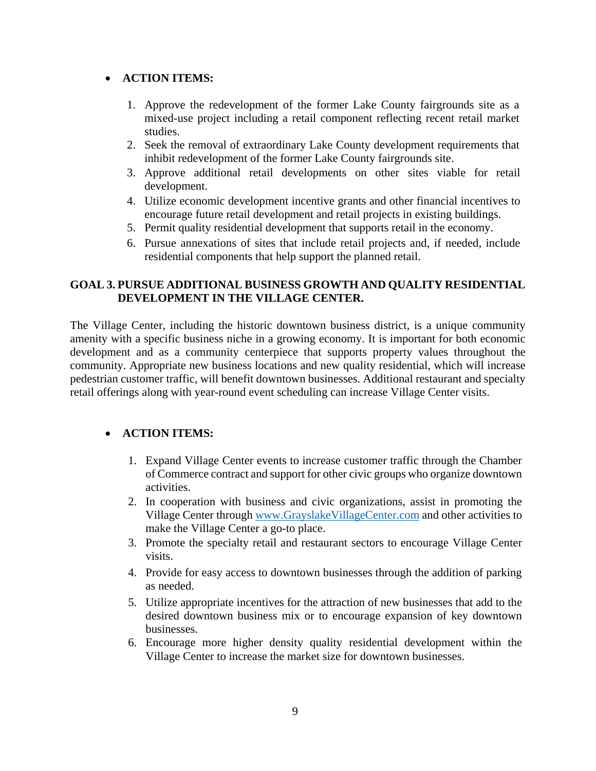# **ACTION ITEMS:**

- 1. Approve the redevelopment of the former Lake County fairgrounds site as a mixed-use project including a retail component reflecting recent retail market studies.
- 2. Seek the removal of extraordinary Lake County development requirements that inhibit redevelopment of the former Lake County fairgrounds site.
- 3. Approve additional retail developments on other sites viable for retail development.
- 4. Utilize economic development incentive grants and other financial incentives to encourage future retail development and retail projects in existing buildings.
- 5. Permit quality residential development that supports retail in the economy.
- 6. Pursue annexations of sites that include retail projects and, if needed, include residential components that help support the planned retail.

# **GOAL 3. PURSUE ADDITIONAL BUSINESS GROWTH AND QUALITY RESIDENTIAL DEVELOPMENT IN THE VILLAGE CENTER.**

The Village Center, including the historic downtown business district, is a unique community amenity with a specific business niche in a growing economy. It is important for both economic development and as a community centerpiece that supports property values throughout the community. Appropriate new business locations and new quality residential, which will increase pedestrian customer traffic, will benefit downtown businesses. Additional restaurant and specialty retail offerings along with year-round event scheduling can increase Village Center visits.

# **ACTION ITEMS:**

- 1. Expand Village Center events to increase customer traffic through the Chamber of Commerce contract and support for other civic groups who organize downtown activities.
- 2. In cooperation with business and civic organizations, assist in promoting the Village Center through www.GrayslakeVillageCenter.com and other activities to make the Village Center a go-to place.
- 3. Promote the specialty retail and restaurant sectors to encourage Village Center visits.
- 4. Provide for easy access to downtown businesses through the addition of parking as needed.
- 5. Utilize appropriate incentives for the attraction of new businesses that add to the desired downtown business mix or to encourage expansion of key downtown businesses.
- 6. Encourage more higher density quality residential development within the Village Center to increase the market size for downtown businesses.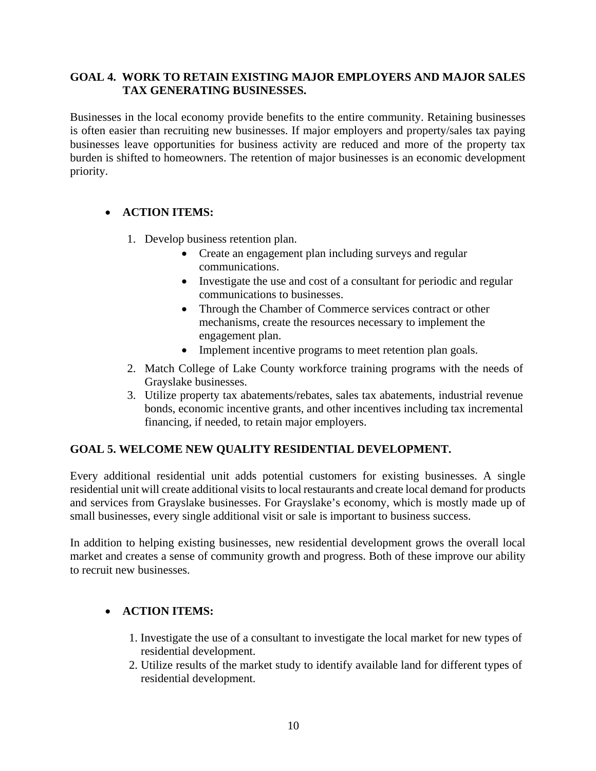# **GOAL 4. WORK TO RETAIN EXISTING MAJOR EMPLOYERS AND MAJOR SALES TAX GENERATING BUSINESSES.**

Businesses in the local economy provide benefits to the entire community. Retaining businesses is often easier than recruiting new businesses. If major employers and property/sales tax paying businesses leave opportunities for business activity are reduced and more of the property tax burden is shifted to homeowners. The retention of major businesses is an economic development priority.

# **ACTION ITEMS:**

- 1. Develop business retention plan.
	- Create an engagement plan including surveys and regular communications.
	- Investigate the use and cost of a consultant for periodic and regular communications to businesses.
	- Through the Chamber of Commerce services contract or other mechanisms, create the resources necessary to implement the engagement plan.
	- Implement incentive programs to meet retention plan goals.
- 2. Match College of Lake County workforce training programs with the needs of Grayslake businesses.
- 3. Utilize property tax abatements/rebates, sales tax abatements, industrial revenue bonds, economic incentive grants, and other incentives including tax incremental financing, if needed, to retain major employers.

# **GOAL 5. WELCOME NEW QUALITY RESIDENTIAL DEVELOPMENT.**

Every additional residential unit adds potential customers for existing businesses. A single residential unit will create additional visits to local restaurants and create local demand for products and services from Grayslake businesses. For Grayslake's economy, which is mostly made up of small businesses, every single additional visit or sale is important to business success.

In addition to helping existing businesses, new residential development grows the overall local market and creates a sense of community growth and progress. Both of these improve our ability to recruit new businesses.

# **ACTION ITEMS:**

- 1. Investigate the use of a consultant to investigate the local market for new types of residential development.
- 2. Utilize results of the market study to identify available land for different types of residential development.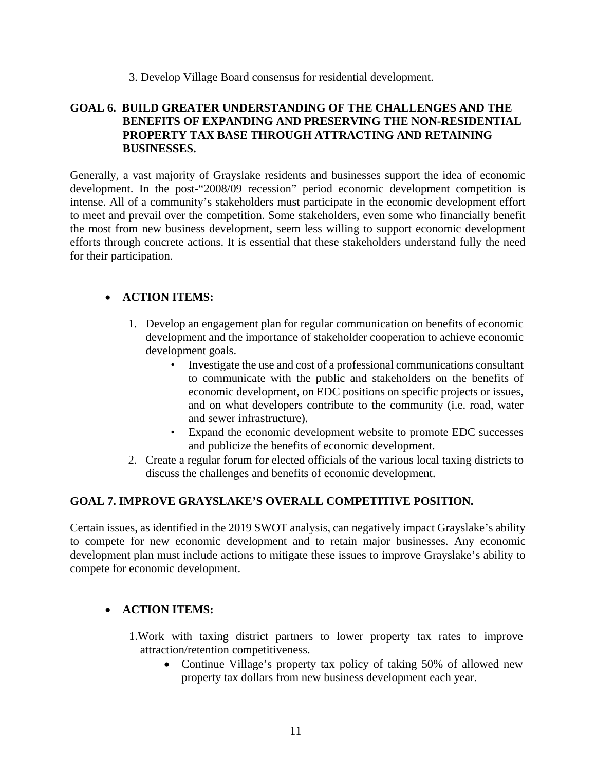# 3. Develop Village Board consensus for residential development.

# **GOAL 6. BUILD GREATER UNDERSTANDING OF THE CHALLENGES AND THE BENEFITS OF EXPANDING AND PRESERVING THE NON-RESIDENTIAL PROPERTY TAX BASE THROUGH ATTRACTING AND RETAINING BUSINESSES.**

Generally, a vast majority of Grayslake residents and businesses support the idea of economic development. In the post-"2008/09 recession" period economic development competition is intense. All of a community's stakeholders must participate in the economic development effort to meet and prevail over the competition. Some stakeholders, even some who financially benefit the most from new business development, seem less willing to support economic development efforts through concrete actions. It is essential that these stakeholders understand fully the need for their participation.

# **ACTION ITEMS:**

- 1. Develop an engagement plan for regular communication on benefits of economic development and the importance of stakeholder cooperation to achieve economic development goals.
	- Investigate the use and cost of a professional communications consultant to communicate with the public and stakeholders on the benefits of economic development, on EDC positions on specific projects or issues, and on what developers contribute to the community (i.e. road, water and sewer infrastructure).
	- Expand the economic development website to promote EDC successes and publicize the benefits of economic development.
- 2. Create a regular forum for elected officials of the various local taxing districts to discuss the challenges and benefits of economic development.

# **GOAL 7. IMPROVE GRAYSLAKE'S OVERALL COMPETITIVE POSITION.**

Certain issues, as identified in the 2019 SWOT analysis, can negatively impact Grayslake's ability to compete for new economic development and to retain major businesses. Any economic development plan must include actions to mitigate these issues to improve Grayslake's ability to compete for economic development.

# **ACTION ITEMS:**

- 1.Work with taxing district partners to lower property tax rates to improve attraction/retention competitiveness.
	- Continue Village's property tax policy of taking 50% of allowed new property tax dollars from new business development each year.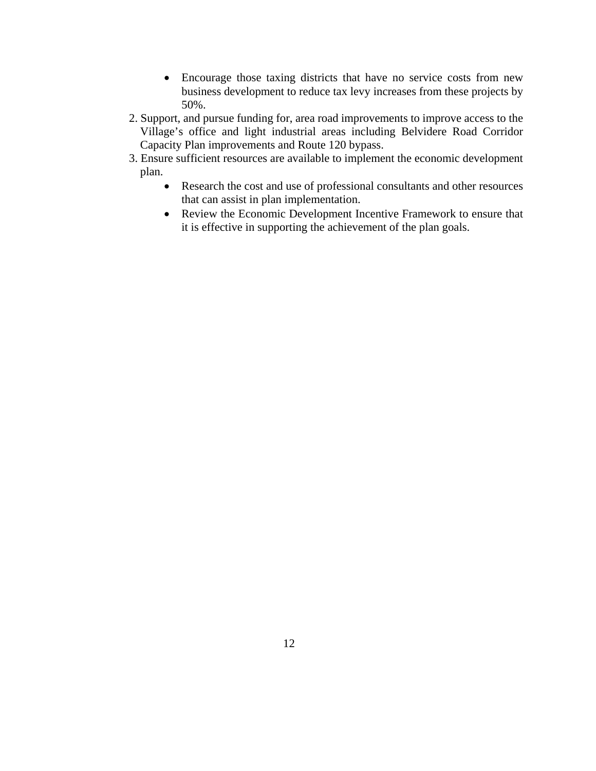- Encourage those taxing districts that have no service costs from new business development to reduce tax levy increases from these projects by 50%.
- 2. Support, and pursue funding for, area road improvements to improve access to the Village's office and light industrial areas including Belvidere Road Corridor Capacity Plan improvements and Route 120 bypass.
- 3. Ensure sufficient resources are available to implement the economic development plan.
	- Research the cost and use of professional consultants and other resources that can assist in plan implementation.
	- Review the Economic Development Incentive Framework to ensure that it is effective in supporting the achievement of the plan goals.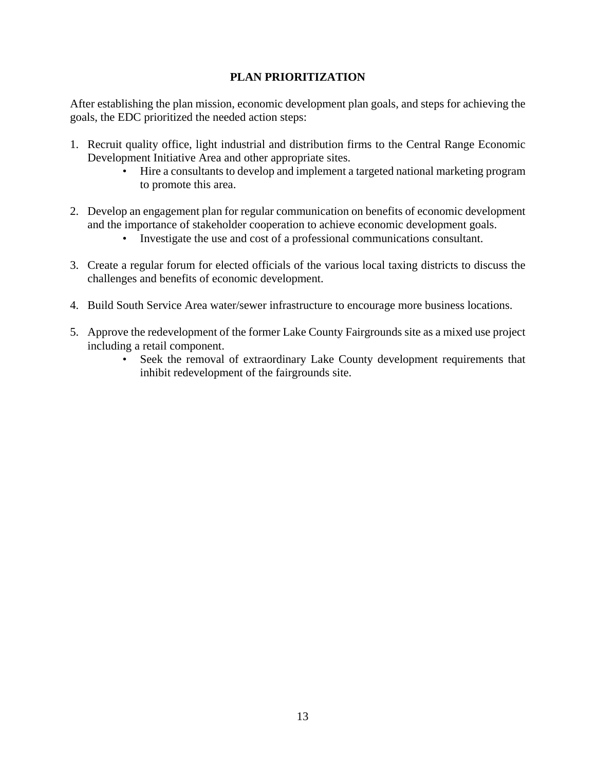# **PLAN PRIORITIZATION**

After establishing the plan mission, economic development plan goals, and steps for achieving the goals, the EDC prioritized the needed action steps:

- 1. Recruit quality office, light industrial and distribution firms to the Central Range Economic Development Initiative Area and other appropriate sites.
	- Hire a consultants to develop and implement a targeted national marketing program to promote this area.
- 2. Develop an engagement plan for regular communication on benefits of economic development and the importance of stakeholder cooperation to achieve economic development goals.
	- Investigate the use and cost of a professional communications consultant.
- 3. Create a regular forum for elected officials of the various local taxing districts to discuss the challenges and benefits of economic development.
- 4. Build South Service Area water/sewer infrastructure to encourage more business locations.
- 5. Approve the redevelopment of the former Lake County Fairgrounds site as a mixed use project including a retail component.
	- Seek the removal of extraordinary Lake County development requirements that inhibit redevelopment of the fairgrounds site.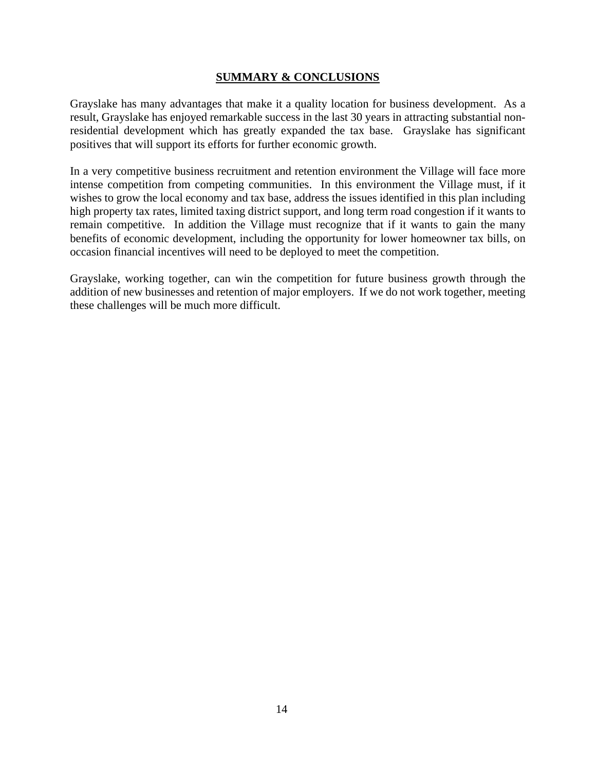# **SUMMARY & CONCLUSIONS**

Grayslake has many advantages that make it a quality location for business development. As a result, Grayslake has enjoyed remarkable success in the last 30 years in attracting substantial nonresidential development which has greatly expanded the tax base. Grayslake has significant positives that will support its efforts for further economic growth.

In a very competitive business recruitment and retention environment the Village will face more intense competition from competing communities. In this environment the Village must, if it wishes to grow the local economy and tax base, address the issues identified in this plan including high property tax rates, limited taxing district support, and long term road congestion if it wants to remain competitive. In addition the Village must recognize that if it wants to gain the many benefits of economic development, including the opportunity for lower homeowner tax bills, on occasion financial incentives will need to be deployed to meet the competition.

Grayslake, working together, can win the competition for future business growth through the addition of new businesses and retention of major employers. If we do not work together, meeting these challenges will be much more difficult.